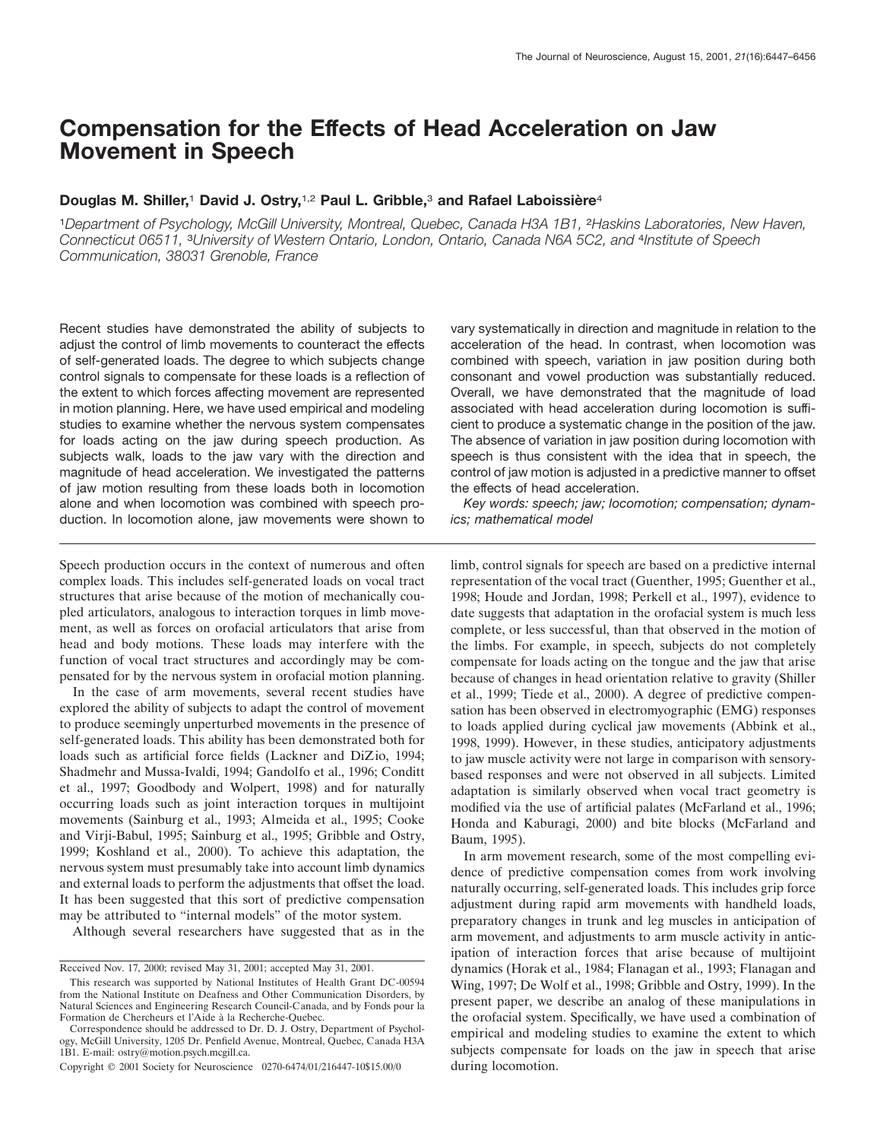# **Compensation for the Effects of Head Acceleration on Jaw Movement in Speech**

# **Douglas M. Shiller,<sup>1</sup> David J. Ostry,<sup>1,2</sup> Paul L. Gribble,<sup>3</sup> and Rafael Laboissière<sup>4</sup>**

<sup>1</sup>*Department of Psychology, McGill University, Montreal, Quebec, Canada H3A 1B1,* <sup>2</sup>*Haskins Laboratories, New Haven, Connecticut 06511,* <sup>3</sup>*University of Western Ontario, London, Ontario, Canada N6A 5C2, and* <sup>4</sup>*Institute of Speech Communication, 38031 Grenoble, France*

Recent studies have demonstrated the ability of subjects to adjust the control of limb movements to counteract the effects of self-generated loads. The degree to which subjects change control signals to compensate for these loads is a reflection of the extent to which forces affecting movement are represented in motion planning. Here, we have used empirical and modeling studies to examine whether the nervous system compensates for loads acting on the jaw during speech production. As subjects walk, loads to the jaw vary with the direction and magnitude of head acceleration. We investigated the patterns of jaw motion resulting from these loads both in locomotion alone and when locomotion was combined with speech production. In locomotion alone, jaw movements were shown to

Speech production occurs in the context of numerous and often complex loads. This includes self-generated loads on vocal tract structures that arise because of the motion of mechanically coupled articulators, analogous to interaction torques in limb movement, as well as forces on orofacial articulators that arise from head and body motions. These loads may interfere with the function of vocal tract structures and accordingly may be compensated for by the nervous system in orofacial motion planning.

In the case of arm movements, several recent studies have explored the ability of subjects to adapt the control of movement to produce seemingly unperturbed movements in the presence of self-generated loads. This ability has been demonstrated both for loads such as artificial force fields (Lackner and DiZio, 1994; Shadmehr and Mussa-Ivaldi, 1994; Gandolfo et al., 1996; Conditt et al., 1997; Goodbody and Wolpert, 1998) and for naturally occurring loads such as joint interaction torques in multijoint movements (Sainburg et al., 1993; Almeida et al., 1995; Cooke and Virji-Babul, 1995; Sainburg et al., 1995; Gribble and Ostry, 1999; Koshland et al., 2000). To achieve this adaptation, the nervous system must presumably take into account limb dynamics and external loads to perform the adjustments that offset the load. It has been suggested that this sort of predictive compensation may be attributed to "internal models" of the motor system.

Although several researchers have suggested that as in the

vary systematically in direction and magnitude in relation to the acceleration of the head. In contrast, when locomotion was combined with speech, variation in jaw position during both consonant and vowel production was substantially reduced. Overall, we have demonstrated that the magnitude of load associated with head acceleration during locomotion is sufficient to produce a systematic change in the position of the jaw. The absence of variation in jaw position during locomotion with speech is thus consistent with the idea that in speech, the control of jaw motion is adjusted in a predictive manner to offset the effects of head acceleration.

*Key words: speech; jaw; locomotion; compensation; dynamics; mathematical model*

limb, control signals for speech are based on a predictive internal representation of the vocal tract (Guenther, 1995; Guenther et al., 1998; Houde and Jordan, 1998; Perkell et al., 1997), evidence to date suggests that adaptation in the orofacial system is much less complete, or less successful, than that observed in the motion of the limbs. For example, in speech, subjects do not completely compensate for loads acting on the tongue and the jaw that arise because of changes in head orientation relative to gravity (Shiller et al., 1999; Tiede et al., 2000). A degree of predictive compensation has been observed in electromyographic (EMG) responses to loads applied during cyclical jaw movements (Abbink et al., 1998, 1999). However, in these studies, anticipatory adjustments to jaw muscle activity were not large in comparison with sensorybased responses and were not observed in all subjects. Limited adaptation is similarly observed when vocal tract geometry is modified via the use of artificial palates (McFarland et al., 1996; Honda and Kaburagi, 2000) and bite blocks (McFarland and Baum, 1995).

In arm movement research, some of the most compelling evidence of predictive compensation comes from work involving naturally occurring, self-generated loads. This includes grip force adjustment during rapid arm movements with handheld loads, preparatory changes in trunk and leg muscles in anticipation of arm movement, and adjustments to arm muscle activity in anticipation of interaction forces that arise because of multijoint dynamics (Horak et al., 1984; Flanagan et al., 1993; Flanagan and Wing, 1997; De Wolf et al., 1998; Gribble and Ostry, 1999). In the present paper, we describe an analog of these manipulations in the orofacial system. Specifically, we have used a combination of empirical and modeling studies to examine the extent to which subjects compensate for loads on the jaw in speech that arise during locomotion.

Received Nov. 17, 2000; revised May 31, 2001; accepted May 31, 2001.

This research was supported by National Institutes of Health Grant DC-00594 from the National Institute on Deafness and Other Communication Disorders, by Natural Sciences and Engineering Research Council-Canada, and by Fonds pour la Formation de Chercheurs et l'Aide a` la Recherche-Quebec.

Correspondence should be addressed to Dr. D. J. Ostry, Department of Psychology, McGill University, 1205 Dr. Penfield Avenue, Montreal, Quebec, Canada H3A 1B1. E-mail: ostry@motion.psych.mcgill.ca.

Copyright © 2001 Society for Neuroscience 0270-6474/01/216447-10\$15.00/0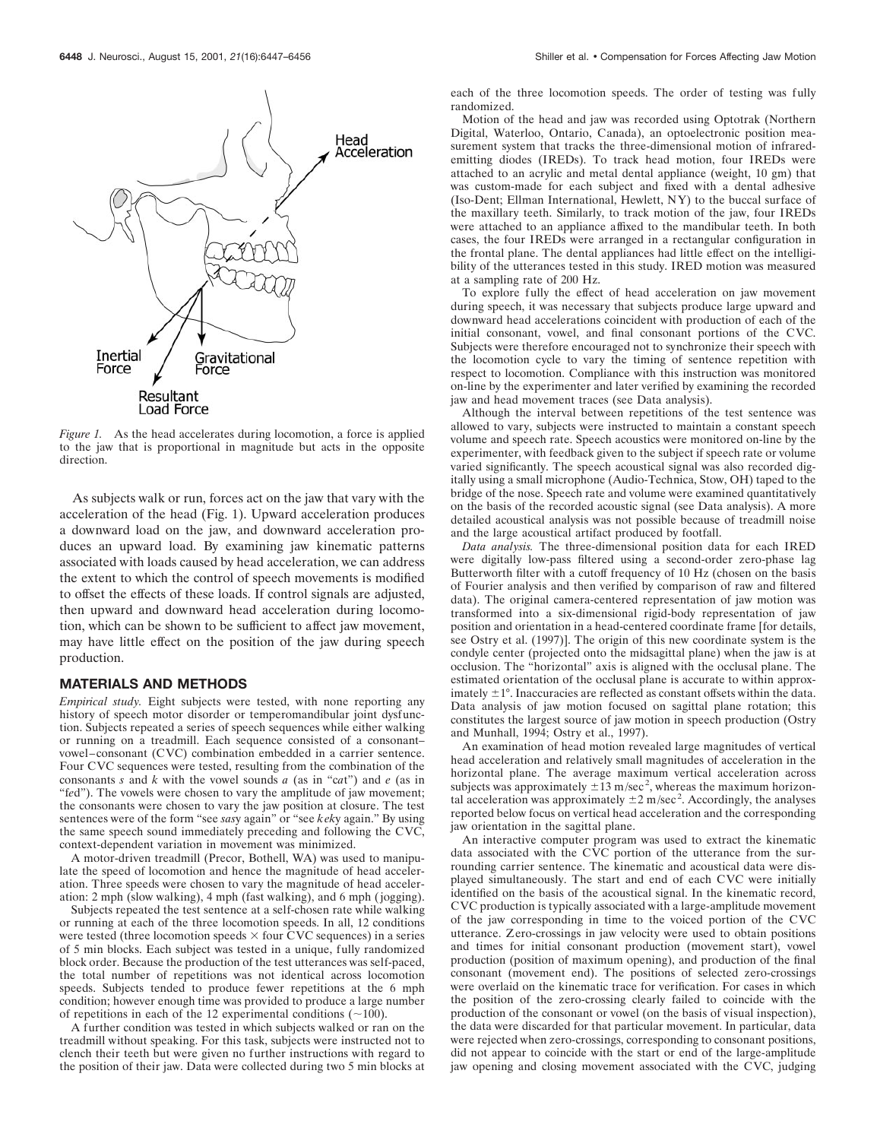

*Figure 1.* As the head accelerates during locomotion, a force is applied to the jaw that is proportional in magnitude but acts in the opposite direction.

As subjects walk or run, forces act on the jaw that vary with the acceleration of the head (Fig. 1). Upward acceleration produces a downward load on the jaw, and downward acceleration produces an upward load. By examining jaw kinematic patterns associated with loads caused by head acceleration, we can address the extent to which the control of speech movements is modified to offset the effects of these loads. If control signals are adjusted, then upward and downward head acceleration during locomotion, which can be shown to be sufficient to affect jaw movement, may have little effect on the position of the jaw during speech production.

# **MATERIALS AND METHODS**

*Empirical study.* Eight subjects were tested, with none reporting any history of speech motor disorder or temperomandibular joint dysfunction. Subjects repeated a series of speech sequences while either walking or running on a treadmill. Each sequence consisted of a consonant– vowel–consonant (CVC) combination embedded in a carrier sentence. Four CVC sequences were tested, resulting from the combination of the consonants  $s$  and  $k$  with the vowel sounds  $a$  (as in "cat") and  $e$  (as in "f*e*d"). The vowels were chosen to vary the amplitude of jaw movement; the consonants were chosen to vary the jaw position at closure. The test sentences were of the form "see *sas*y again" or "see *kek*y again." By using the same speech sound immediately preceding and following the CVC, context-dependent variation in movement was minimized.

A motor-driven treadmill (Precor, Bothell, WA) was used to manipulate the speed of locomotion and hence the magnitude of head acceleration. Three speeds were chosen to vary the magnitude of head acceleration: 2 mph (slow walking), 4 mph (fast walking), and 6 mph (jogging).

Subjects repeated the test sentence at a self-chosen rate while walking or running at each of the three locomotion speeds. In all, 12 conditions were tested (three locomotion speeds  $\times$  four CVC sequences) in a series of 5 min blocks. Each subject was tested in a unique, fully randomized block order. Because the production of the test utterances was self-paced, the total number of repetitions was not identical across locomotion speeds. Subjects tended to produce fewer repetitions at the 6 mph condition; however enough time was provided to produce a large number of repetitions in each of the 12 experimental conditions  $(\sim 100)$ .

A further condition was tested in which subjects walked or ran on the treadmill without speaking. For this task, subjects were instructed not to clench their teeth but were given no further instructions with regard to the position of their jaw. Data were collected during two 5 min blocks at each of the three locomotion speeds. The order of testing was fully randomized.

Motion of the head and jaw was recorded using Optotrak (Northern Digital, Waterloo, Ontario, Canada), an optoelectronic position measurement system that tracks the three-dimensional motion of infraredemitting diodes (IREDs). To track head motion, four IREDs were attached to an acrylic and metal dental appliance (weight, 10 gm) that was custom-made for each subject and fixed with a dental adhesive (Iso-Dent; Ellman International, Hewlett, NY) to the buccal surface of the maxillary teeth. Similarly, to track motion of the jaw, four IREDs were attached to an appliance affixed to the mandibular teeth. In both cases, the four IREDs were arranged in a rectangular configuration in the frontal plane. The dental appliances had little effect on the intelligibility of the utterances tested in this study. IRED motion was measured at a sampling rate of 200 Hz.

To explore fully the effect of head acceleration on jaw movement during speech, it was necessary that subjects produce large upward and downward head accelerations coincident with production of each of the initial consonant, vowel, and final consonant portions of the CVC. Subjects were therefore encouraged not to synchronize their speech with the locomotion cycle to vary the timing of sentence repetition with respect to locomotion. Compliance with this instruction was monitored on-line by the experimenter and later verified by examining the recorded jaw and head movement traces (see Data analysis).

Although the interval between repetitions of the test sentence was allowed to vary, subjects were instructed to maintain a constant speech volume and speech rate. Speech acoustics were monitored on-line by the experimenter, with feedback given to the subject if speech rate or volume varied significantly. The speech acoustical signal was also recorded digitally using a small microphone (Audio-Technica, Stow, OH) taped to the bridge of the nose. Speech rate and volume were examined quantitatively on the basis of the recorded acoustic signal (see Data analysis). A more detailed acoustical analysis was not possible because of treadmill noise and the large acoustical artifact produced by footfall.

*Data analysis.* The three-dimensional position data for each IRED were digitally low-pass filtered using a second-order zero-phase lag Butterworth filter with a cutoff frequency of 10 Hz (chosen on the basis of Fourier analysis and then verified by comparison of raw and filtered data). The original camera-centered representation of jaw motion was transformed into a six-dimensional rigid-body representation of jaw position and orientation in a head-centered coordinate frame [for details, see Ostry et al. (1997)]. The origin of this new coordinate system is the condyle center (projected onto the midsagittal plane) when the jaw is at occlusion. The "horizontal" axis is aligned with the occlusal plane. The estimated orientation of the occlusal plane is accurate to within approximately  $\pm 1^\circ$ . Inaccuracies are reflected as constant offsets within the data. Data analysis of jaw motion focused on sagittal plane rotation; this constitutes the largest source of jaw motion in speech production (Ostry and Munhall, 1994; Ostry et al., 1997).

An examination of head motion revealed large magnitudes of vertical head acceleration and relatively small magnitudes of acceleration in the horizontal plane. The average maximum vertical acceleration across subjects was approximately  $\pm 13$  m/sec<sup>2</sup>, whereas the maximum horizontal acceleration was approximately  $\pm 2$  m/sec<sup>2</sup>. Accordingly, the analyses reported below focus on vertical head acceleration and the corresponding jaw orientation in the sagittal plane.

An interactive computer program was used to extract the kinematic data associated with the CVC portion of the utterance from the surrounding carrier sentence. The kinematic and acoustical data were displayed simultaneously. The start and end of each CVC were initially identified on the basis of the acoustical signal. In the kinematic record, CVC production is typically associated with a large-amplitude movement of the jaw corresponding in time to the voiced portion of the CVC utterance. Zero-crossings in jaw velocity were used to obtain positions and times for initial consonant production (movement start), vowel production (position of maximum opening), and production of the final consonant (movement end). The positions of selected zero-crossings were overlaid on the kinematic trace for verification. For cases in which the position of the zero-crossing clearly failed to coincide with the production of the consonant or vowel (on the basis of visual inspection), the data were discarded for that particular movement. In particular, data were rejected when zero-crossings, corresponding to consonant positions, did not appear to coincide with the start or end of the large-amplitude jaw opening and closing movement associated with the CVC, judging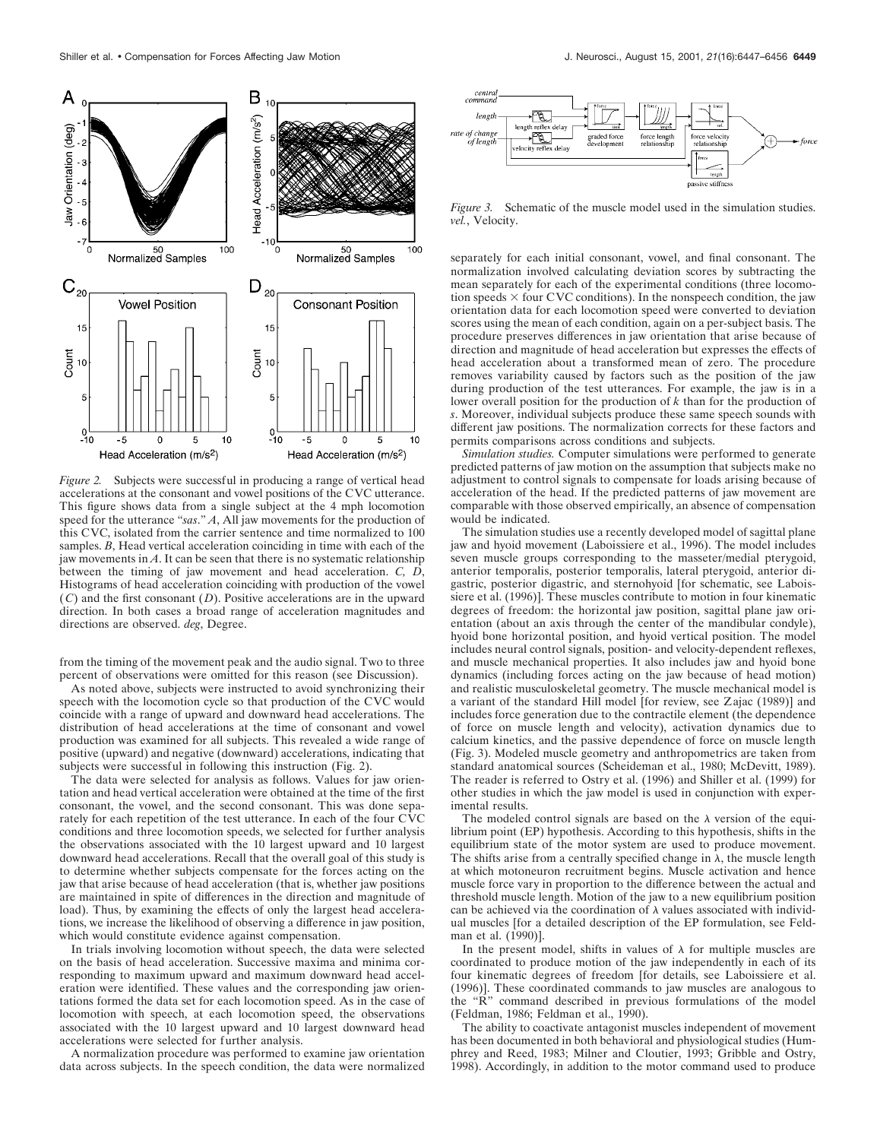

*Figure 2.* Subjects were successful in producing a range of vertical head accelerations at the consonant and vowel positions of the CVC utterance. This figure shows data from a single subject at the 4 mph locomotion speed for the utterance "*sas*." *A*, All jaw movements for the production of this CVC, isolated from the carrier sentence and time normalized to 100 samples. *B*, Head vertical acceleration coinciding in time with each of the jaw movements in *A*. It can be seen that there is no systematic relationship between the timing of jaw movement and head acceleration. *C, D*, Histograms of head acceleration coinciding with production of the vowel (*C*) and the first consonant (*D*). Positive accelerations are in the upward direction. In both cases a broad range of acceleration magnitudes and directions are observed. *deg*, Degree.

from the timing of the movement peak and the audio signal. Two to three percent of observations were omitted for this reason (see Discussion).

As noted above, subjects were instructed to avoid synchronizing their speech with the locomotion cycle so that production of the CVC would coincide with a range of upward and downward head accelerations. The distribution of head accelerations at the time of consonant and vowel production was examined for all subjects. This revealed a wide range of positive (upward) and negative (downward) accelerations, indicating that subjects were successful in following this instruction (Fig. 2).

The data were selected for analysis as follows. Values for jaw orientation and head vertical acceleration were obtained at the time of the first consonant, the vowel, and the second consonant. This was done separately for each repetition of the test utterance. In each of the four CVC conditions and three locomotion speeds, we selected for further analysis the observations associated with the 10 largest upward and 10 largest downward head accelerations. Recall that the overall goal of this study is to determine whether subjects compensate for the forces acting on the jaw that arise because of head acceleration (that is, whether jaw positions are maintained in spite of differences in the direction and magnitude of load). Thus, by examining the effects of only the largest head accelerations, we increase the likelihood of observing a difference in jaw position, which would constitute evidence against compensation.

In trials involving locomotion without speech, the data were selected on the basis of head acceleration. Successive maxima and minima corresponding to maximum upward and maximum downward head acceleration were identified. These values and the corresponding jaw orientations formed the data set for each locomotion speed. As in the case of locomotion with speech, at each locomotion speed, the observations associated with the 10 largest upward and 10 largest downward head accelerations were selected for further analysis.

A normalization procedure was performed to examine jaw orientation data across subjects. In the speech condition, the data were normalized



*Figure 3.* Schematic of the muscle model used in the simulation studies. *vel.*, Velocity.

separately for each initial consonant, vowel, and final consonant. The normalization involved calculating deviation scores by subtracting the mean separately for each of the experimental conditions (three locomotion speeds  $\times$  four CVC conditions). In the nonspeech condition, the jaw orientation data for each locomotion speed were converted to deviation scores using the mean of each condition, again on a per-subject basis. The procedure preserves differences in jaw orientation that arise because of direction and magnitude of head acceleration but expresses the effects of head acceleration about a transformed mean of zero. The procedure removes variability caused by factors such as the position of the jaw during production of the test utterances. For example, the jaw is in a lower overall position for the production of *k* than for the production of *s*. Moreover, individual subjects produce these same speech sounds with different jaw positions. The normalization corrects for these factors and permits comparisons across conditions and subjects.

*Simulation studies.* Computer simulations were performed to generate predicted patterns of jaw motion on the assumption that subjects make no adjustment to control signals to compensate for loads arising because of acceleration of the head. If the predicted patterns of jaw movement are comparable with those observed empirically, an absence of compensation would be indicated.

The simulation studies use a recently developed model of sagittal plane jaw and hyoid movement (Laboissiere et al., 1996). The model includes seven muscle groups corresponding to the masseter/medial pterygoid, anterior temporalis, posterior temporalis, lateral pterygoid, anterior digastric, posterior digastric, and sternohyoid [for schematic, see Laboissiere et al. (1996)]. These muscles contribute to motion in four kinematic degrees of freedom: the horizontal jaw position, sagittal plane jaw orientation (about an axis through the center of the mandibular condyle), hyoid bone horizontal position, and hyoid vertical position. The model includes neural control signals, position- and velocity-dependent reflexes, and muscle mechanical properties. It also includes jaw and hyoid bone dynamics (including forces acting on the jaw because of head motion) and realistic musculoskeletal geometry. The muscle mechanical model is a variant of the standard Hill model [for review, see Zajac (1989)] and includes force generation due to the contractile element (the dependence of force on muscle length and velocity), activation dynamics due to calcium kinetics, and the passive dependence of force on muscle length (Fig. 3). Modeled muscle geometry and anthropometrics are taken from standard anatomical sources (Scheideman et al., 1980; McDevitt, 1989). The reader is referred to Ostry et al. (1996) and Shiller et al. (1999) for other studies in which the jaw model is used in conjunction with experimental results.

The modeled control signals are based on the  $\lambda$  version of the equilibrium point (EP) hypothesis. According to this hypothesis, shifts in the equilibrium state of the motor system are used to produce movement. The shifts arise from a centrally specified change in  $\lambda$ , the muscle length at which motoneuron recruitment begins. Muscle activation and hence muscle force vary in proportion to the difference between the actual and threshold muscle length. Motion of the jaw to a new equilibrium position can be achieved via the coordination of  $\lambda$  values associated with individual muscles [for a detailed description of the EP formulation, see Feldman et al. (1990)].

In the present model, shifts in values of  $\lambda$  for multiple muscles are coordinated to produce motion of the jaw independently in each of its four kinematic degrees of freedom [for details, see Laboissiere et al. (1996)]. These coordinated commands to jaw muscles are analogous to the "R" command described in previous formulations of the model (Feldman, 1986; Feldman et al., 1990).

The ability to coactivate antagonist muscles independent of movement has been documented in both behavioral and physiological studies (Humphrey and Reed, 1983; Milner and Cloutier, 1993; Gribble and Ostry, 1998). Accordingly, in addition to the motor command used to produce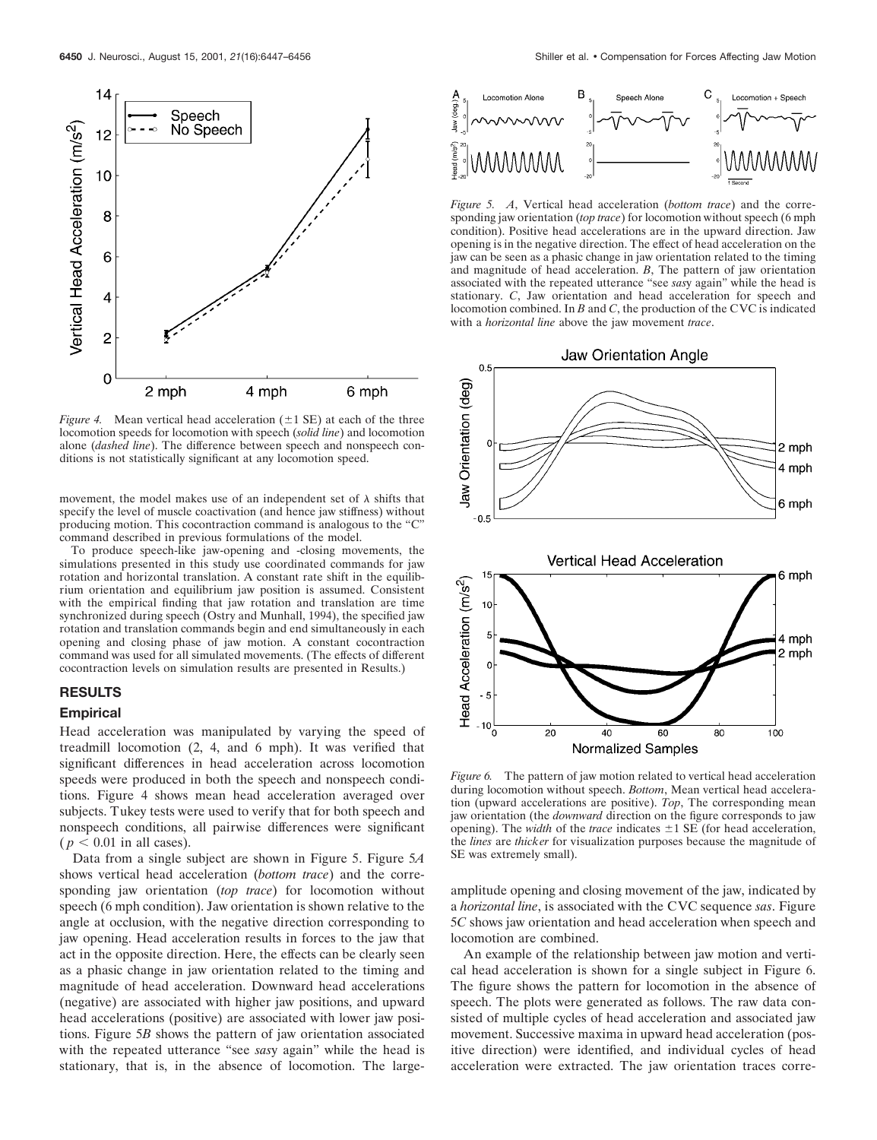

*Figure 4.* Mean vertical head acceleration  $(\pm 1 \text{ SE})$  at each of the three locomotion speeds for locomotion with speech (*solid line*) and locomotion alone (*dashed line*). The difference between speech and nonspeech conditions is not statistically significant at any locomotion speed.

movement, the model makes use of an independent set of  $\lambda$  shifts that specify the level of muscle coactivation (and hence jaw stiffness) without producing motion. This cocontraction command is analogous to the "C" command described in previous formulations of the model.

To produce speech-like jaw-opening and -closing movements, the simulations presented in this study use coordinated commands for jaw rotation and horizontal translation. A constant rate shift in the equilibrium orientation and equilibrium jaw position is assumed. Consistent with the empirical finding that jaw rotation and translation are time synchronized during speech (Ostry and Munhall, 1994), the specified jaw rotation and translation commands begin and end simultaneously in each opening and closing phase of jaw motion. A constant cocontraction command was used for all simulated movements. (The effects of different cocontraction levels on simulation results are presented in Results.)

# **RESULTS**

### **Empirical**

Head acceleration was manipulated by varying the speed of treadmill locomotion (2, 4, and 6 mph). It was verified that significant differences in head acceleration across locomotion speeds were produced in both the speech and nonspeech conditions. Figure 4 shows mean head acceleration averaged over subjects. Tukey tests were used to verify that for both speech and nonspeech conditions, all pairwise differences were significant  $(p < 0.01$  in all cases).

Data from a single subject are shown in Figure 5. Figure 5*A* shows vertical head acceleration (*bottom trace*) and the corresponding jaw orientation (*top trace*) for locomotion without speech (6 mph condition). Jaw orientation is shown relative to the angle at occlusion, with the negative direction corresponding to jaw opening. Head acceleration results in forces to the jaw that act in the opposite direction. Here, the effects can be clearly seen as a phasic change in jaw orientation related to the timing and magnitude of head acceleration. Downward head accelerations (negative) are associated with higher jaw positions, and upward head accelerations (positive) are associated with lower jaw positions. Figure 5*B* shows the pattern of jaw orientation associated with the repeated utterance "see *sas*y again" while the head is stationary, that is, in the absence of locomotion. The large-



*Figure 5. A*, Vertical head acceleration (*bottom trace*) and the corresponding jaw orientation (*top trace*) for locomotion without speech (6 mph condition). Positive head accelerations are in the upward direction. Jaw opening is in the negative direction. The effect of head acceleration on the jaw can be seen as a phasic change in jaw orientation related to the timing and magnitude of head acceleration. *B*, The pattern of jaw orientation associated with the repeated utterance "see *sas*y again" while the head is stationary. *C*, Jaw orientation and head acceleration for speech and locomotion combined. In *B* and *C*, the production of the CVC is indicated with a *horizontal line* above the jaw movement *trace*.



*Figure 6.* The pattern of jaw motion related to vertical head acceleration during locomotion without speech. *Bottom*, Mean vertical head acceleration (upward accelerations are positive). *Top*, The corresponding mean jaw orientation (the *downward* direction on the figure corresponds to jaw opening). The *width* of the *trace* indicates  $\pm 1$  SE (for head acceleration, the *lines* are *thicker* for visualization purposes because the magnitude of SE was extremely small).

amplitude opening and closing movement of the jaw, indicated by a *horizontal line*, is associated with the CVC sequence *sas*. Figure 5*C* shows jaw orientation and head acceleration when speech and locomotion are combined.

An example of the relationship between jaw motion and vertical head acceleration is shown for a single subject in Figure 6. The figure shows the pattern for locomotion in the absence of speech. The plots were generated as follows. The raw data consisted of multiple cycles of head acceleration and associated jaw movement. Successive maxima in upward head acceleration (positive direction) were identified, and individual cycles of head acceleration were extracted. The jaw orientation traces corre-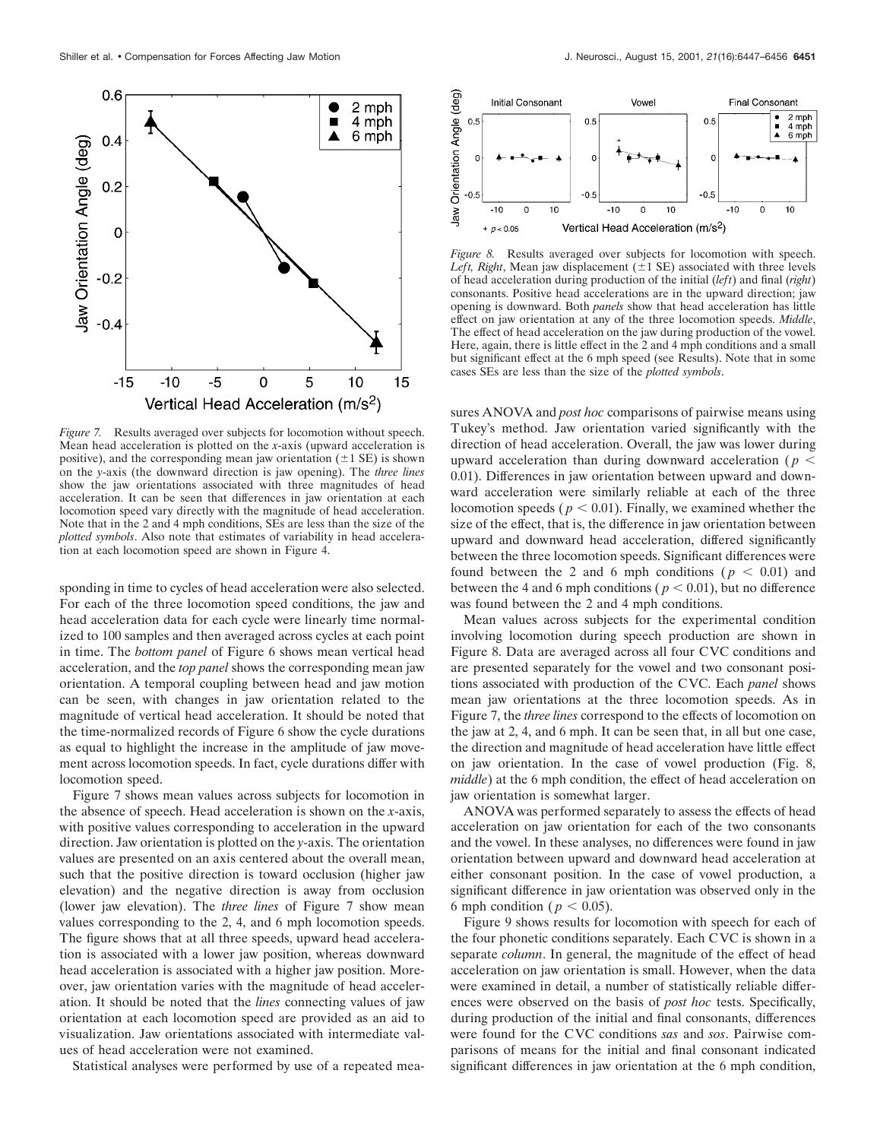

*Figure 7.* Results averaged over subjects for locomotion without speech. Mean head acceleration is plotted on the *x*-axis (upward acceleration is positive), and the corresponding mean jaw orientation  $(\pm 1 \text{ SE})$  is shown on the *y*-axis (the downward direction is jaw opening). The *three lines* show the jaw orientations associated with three magnitudes of head acceleration. It can be seen that differences in jaw orientation at each locomotion speed vary directly with the magnitude of head acceleration. Note that in the 2 and 4 mph conditions, SEs are less than the size of the *plotted symbols*. Also note that estimates of variability in head acceleration at each locomotion speed are shown in Figure 4.

sponding in time to cycles of head acceleration were also selected. For each of the three locomotion speed conditions, the jaw and head acceleration data for each cycle were linearly time normalized to 100 samples and then averaged across cycles at each point in time. The *bottom panel* of Figure 6 shows mean vertical head acceleration, and the *top panel* shows the corresponding mean jaw orientation. A temporal coupling between head and jaw motion can be seen, with changes in jaw orientation related to the magnitude of vertical head acceleration. It should be noted that the time-normalized records of Figure 6 show the cycle durations as equal to highlight the increase in the amplitude of jaw movement across locomotion speeds. In fact, cycle durations differ with locomotion speed.

Figure 7 shows mean values across subjects for locomotion in the absence of speech. Head acceleration is shown on the *x*-axis, with positive values corresponding to acceleration in the upward direction. Jaw orientation is plotted on the *y*-axis. The orientation values are presented on an axis centered about the overall mean, such that the positive direction is toward occlusion (higher jaw elevation) and the negative direction is away from occlusion (lower jaw elevation). The *three lines* of Figure 7 show mean values corresponding to the 2, 4, and 6 mph locomotion speeds. The figure shows that at all three speeds, upward head acceleration is associated with a lower jaw position, whereas downward head acceleration is associated with a higher jaw position. Moreover, jaw orientation varies with the magnitude of head acceleration. It should be noted that the *lines* connecting values of jaw orientation at each locomotion speed are provided as an aid to visualization. Jaw orientations associated with intermediate values of head acceleration were not examined.

Statistical analyses were performed by use of a repeated mea-



*Figure 8.* Results averaged over subjects for locomotion with speech. *Left, Right*, Mean jaw displacement  $(\pm 1 \text{ SE})$  associated with three levels of head acceleration during production of the initial (*left*) and final (*right*) consonants. Positive head accelerations are in the upward direction; jaw opening is downward. Both *panels* show that head acceleration has little effect on jaw orientation at any of the three locomotion speeds. *Middle*, The effect of head acceleration on the jaw during production of the vowel. Here, again, there is little effect in the 2 and 4 mph conditions and a small but significant effect at the 6 mph speed (see Results). Note that in some cases SEs are less than the size of the *plotted symbols*.

sures ANOVA and *post hoc* comparisons of pairwise means using Tukey's method. Jaw orientation varied significantly with the direction of head acceleration. Overall, the jaw was lower during upward acceleration than during downward acceleration ( $p <$ 0.01). Differences in jaw orientation between upward and downward acceleration were similarly reliable at each of the three locomotion speeds ( $p < 0.01$ ). Finally, we examined whether the size of the effect, that is, the difference in jaw orientation between upward and downward head acceleration, differed significantly between the three locomotion speeds. Significant differences were found between the 2 and 6 mph conditions ( $p < 0.01$ ) and between the 4 and 6 mph conditions ( $p < 0.01$ ), but no difference was found between the 2 and 4 mph conditions.

Mean values across subjects for the experimental condition involving locomotion during speech production are shown in Figure 8. Data are averaged across all four CVC conditions and are presented separately for the vowel and two consonant positions associated with production of the CVC. Each *panel* shows mean jaw orientations at the three locomotion speeds. As in Figure 7, the *three lines* correspond to the effects of locomotion on the jaw at 2, 4, and 6 mph. It can be seen that, in all but one case, the direction and magnitude of head acceleration have little effect on jaw orientation. In the case of vowel production (Fig. 8, *middle*) at the 6 mph condition, the effect of head acceleration on jaw orientation is somewhat larger.

ANOVA was performed separately to assess the effects of head acceleration on jaw orientation for each of the two consonants and the vowel. In these analyses, no differences were found in jaw orientation between upward and downward head acceleration at either consonant position. In the case of vowel production, a significant difference in jaw orientation was observed only in the 6 mph condition ( $p < 0.05$ ).

Figure 9 shows results for locomotion with speech for each of the four phonetic conditions separately. Each CVC is shown in a separate *column*. In general, the magnitude of the effect of head acceleration on jaw orientation is small. However, when the data were examined in detail, a number of statistically reliable differences were observed on the basis of *post hoc* tests. Specifically, during production of the initial and final consonants, differences were found for the CVC conditions *sas* and *sos*. Pairwise comparisons of means for the initial and final consonant indicated significant differences in jaw orientation at the 6 mph condition,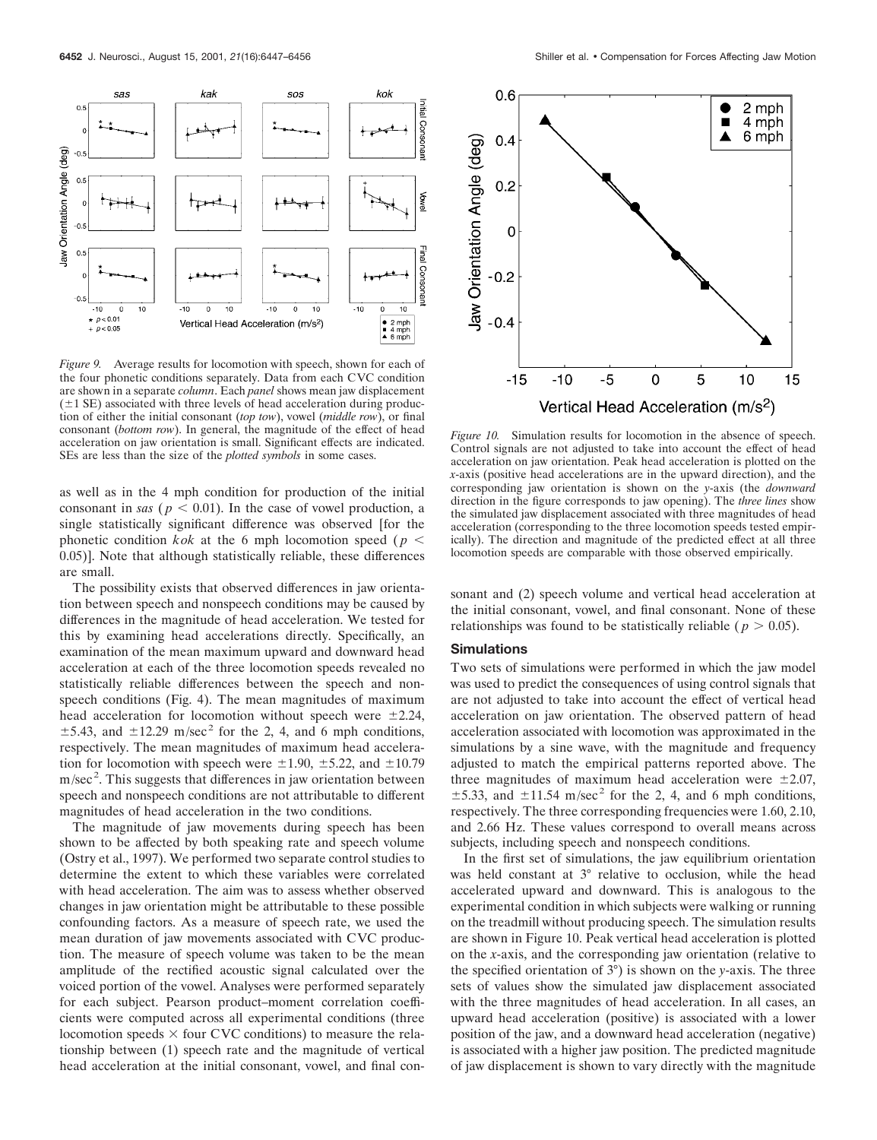

*Figure 9.* Average results for locomotion with speech, shown for each of the four phonetic conditions separately. Data from each CVC condition are shown in a separate *column*. Each *panel* shows mean jaw displacement  $(\pm 1 \text{ SE})$  associated with three levels of head acceleration during production of either the initial consonant (*top tow*), vowel (*middle row*), or final consonant (*bottom row*). In general, the magnitude of the effect of head acceleration on jaw orientation is small. Significant effects are indicated. SEs are less than the size of the *plotted symbols* in some cases.

as well as in the 4 mph condition for production of the initial consonant in *sas* ( $p < 0.01$ ). In the case of vowel production, a single statistically significant difference was observed [for the phonetic condition  $k \circ k$  at the 6 mph locomotion speed ( $p <$ 0.05)]. Note that although statistically reliable, these differences are small.

The possibility exists that observed differences in jaw orientation between speech and nonspeech conditions may be caused by differences in the magnitude of head acceleration. We tested for this by examining head accelerations directly. Specifically, an examination of the mean maximum upward and downward head acceleration at each of the three locomotion speeds revealed no statistically reliable differences between the speech and nonspeech conditions (Fig. 4). The mean magnitudes of maximum head acceleration for locomotion without speech were  $\pm 2.24$ ,  $\pm$ 5.43, and  $\pm$ 12.29 m/sec<sup>2</sup> for the 2, 4, and 6 mph conditions, respectively. The mean magnitudes of maximum head acceleration for locomotion with speech were  $\pm 1.90$ ,  $\pm 5.22$ , and  $\pm 10.79$ m/sec<sup>2</sup>. This suggests that differences in jaw orientation between speech and nonspeech conditions are not attributable to different magnitudes of head acceleration in the two conditions.

The magnitude of jaw movements during speech has been shown to be affected by both speaking rate and speech volume (Ostry et al., 1997). We performed two separate control studies to determine the extent to which these variables were correlated with head acceleration. The aim was to assess whether observed changes in jaw orientation might be attributable to these possible confounding factors. As a measure of speech rate, we used the mean duration of jaw movements associated with CVC production. The measure of speech volume was taken to be the mean amplitude of the rectified acoustic signal calculated over the voiced portion of the vowel. Analyses were performed separately for each subject. Pearson product–moment correlation coefficients were computed across all experimental conditions (three locomotion speeds  $\times$  four CVC conditions) to measure the relationship between (1) speech rate and the magnitude of vertical head acceleration at the initial consonant, vowel, and final con-



*Figure 10.* Simulation results for locomotion in the absence of speech. Control signals are not adjusted to take into account the effect of head acceleration on jaw orientation. Peak head acceleration is plotted on the *x*-axis (positive head accelerations are in the upward direction), and the corresponding jaw orientation is shown on the *y*-axis (the *downward* direction in the figure corresponds to jaw opening). The *three lines* show the simulated jaw displacement associated with three magnitudes of head acceleration (corresponding to the three locomotion speeds tested empirically). The direction and magnitude of the predicted effect at all three locomotion speeds are comparable with those observed empirically.

sonant and (2) speech volume and vertical head acceleration at the initial consonant, vowel, and final consonant. None of these relationships was found to be statistically reliable ( $p > 0.05$ ).

#### **Simulations**

Two sets of simulations were performed in which the jaw model was used to predict the consequences of using control signals that are not adjusted to take into account the effect of vertical head acceleration on jaw orientation. The observed pattern of head acceleration associated with locomotion was approximated in the simulations by a sine wave, with the magnitude and frequency adjusted to match the empirical patterns reported above. The three magnitudes of maximum head acceleration were  $\pm 2.07$ ,  $\pm$ 5.33, and  $\pm$ 11.54 m/sec<sup>2</sup> for the 2, 4, and 6 mph conditions, respectively. The three corresponding frequencies were 1.60, 2.10, and 2.66 Hz. These values correspond to overall means across subjects, including speech and nonspeech conditions.

In the first set of simulations, the jaw equilibrium orientation was held constant at 3° relative to occlusion, while the head accelerated upward and downward. This is analogous to the experimental condition in which subjects were walking or running on the treadmill without producing speech. The simulation results are shown in Figure 10. Peak vertical head acceleration is plotted on the *x*-axis, and the corresponding jaw orientation (relative to the specified orientation of 3°) is shown on the *y*-axis. The three sets of values show the simulated jaw displacement associated with the three magnitudes of head acceleration. In all cases, an upward head acceleration (positive) is associated with a lower position of the jaw, and a downward head acceleration (negative) is associated with a higher jaw position. The predicted magnitude of jaw displacement is shown to vary directly with the magnitude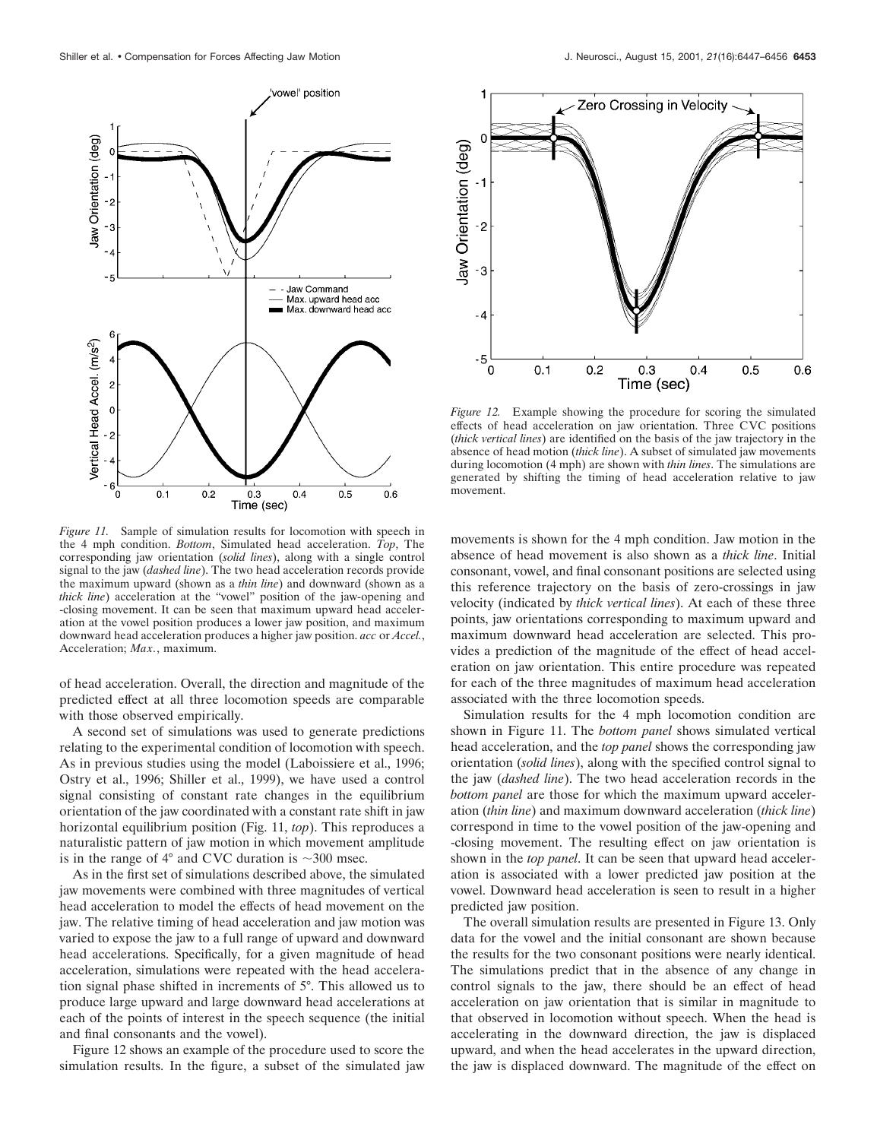

*Figure 11.* Sample of simulation results for locomotion with speech in the 4 mph condition. *Bottom*, Simulated head acceleration. *Top*, The corresponding jaw orientation (*solid lines*), along with a single control signal to the jaw (*dashed line*). The two head acceleration records provide the maximum upward (shown as a *thin line*) and downward (shown as a *thick line*) acceleration at the "vowel" position of the jaw-opening and -closing movement. It can be seen that maximum upward head acceleration at the vowel position produces a lower jaw position, and maximum downward head acceleration produces a higher jaw position. *acc* or *Accel.*, Acceleration; *Max.*, maximum.

of head acceleration. Overall, the direction and magnitude of the predicted effect at all three locomotion speeds are comparable with those observed empirically.

A second set of simulations was used to generate predictions relating to the experimental condition of locomotion with speech. As in previous studies using the model (Laboissiere et al., 1996; Ostry et al., 1996; Shiller et al., 1999), we have used a control signal consisting of constant rate changes in the equilibrium orientation of the jaw coordinated with a constant rate shift in jaw horizontal equilibrium position (Fig. 11, *top*). This reproduces a naturalistic pattern of jaw motion in which movement amplitude is in the range of  $4^{\circ}$  and CVC duration is  $\sim$ 300 msec.

As in the first set of simulations described above, the simulated jaw movements were combined with three magnitudes of vertical head acceleration to model the effects of head movement on the jaw. The relative timing of head acceleration and jaw motion was varied to expose the jaw to a full range of upward and downward head accelerations. Specifically, for a given magnitude of head acceleration, simulations were repeated with the head acceleration signal phase shifted in increments of 5°. This allowed us to produce large upward and large downward head accelerations at each of the points of interest in the speech sequence (the initial and final consonants and the vowel).

Figure 12 shows an example of the procedure used to score the simulation results. In the figure, a subset of the simulated jaw



*Figure 12.* Example showing the procedure for scoring the simulated effects of head acceleration on jaw orientation. Three CVC positions (*thick vertical lines*) are identified on the basis of the jaw trajectory in the absence of head motion (*thick line*). A subset of simulated jaw movements during locomotion (4 mph) are shown with *thin lines*. The simulations are generated by shifting the timing of head acceleration relative to jaw movement.

movements is shown for the 4 mph condition. Jaw motion in the absence of head movement is also shown as a *thick line*. Initial consonant, vowel, and final consonant positions are selected using this reference trajectory on the basis of zero-crossings in jaw velocity (indicated by *thick vertical lines*). At each of these three points, jaw orientations corresponding to maximum upward and maximum downward head acceleration are selected. This provides a prediction of the magnitude of the effect of head acceleration on jaw orientation. This entire procedure was repeated for each of the three magnitudes of maximum head acceleration associated with the three locomotion speeds.

Simulation results for the 4 mph locomotion condition are shown in Figure 11. The *bottom panel* shows simulated vertical head acceleration, and the *top panel* shows the corresponding jaw orientation (*solid lines*), along with the specified control signal to the jaw (*dashed line*). The two head acceleration records in the *bottom panel* are those for which the maximum upward acceleration (*thin line*) and maximum downward acceleration (*thick line*) correspond in time to the vowel position of the jaw-opening and -closing movement. The resulting effect on jaw orientation is shown in the *top panel*. It can be seen that upward head acceleration is associated with a lower predicted jaw position at the vowel. Downward head acceleration is seen to result in a higher predicted jaw position.

The overall simulation results are presented in Figure 13. Only data for the vowel and the initial consonant are shown because the results for the two consonant positions were nearly identical. The simulations predict that in the absence of any change in control signals to the jaw, there should be an effect of head acceleration on jaw orientation that is similar in magnitude to that observed in locomotion without speech. When the head is accelerating in the downward direction, the jaw is displaced upward, and when the head accelerates in the upward direction, the jaw is displaced downward. The magnitude of the effect on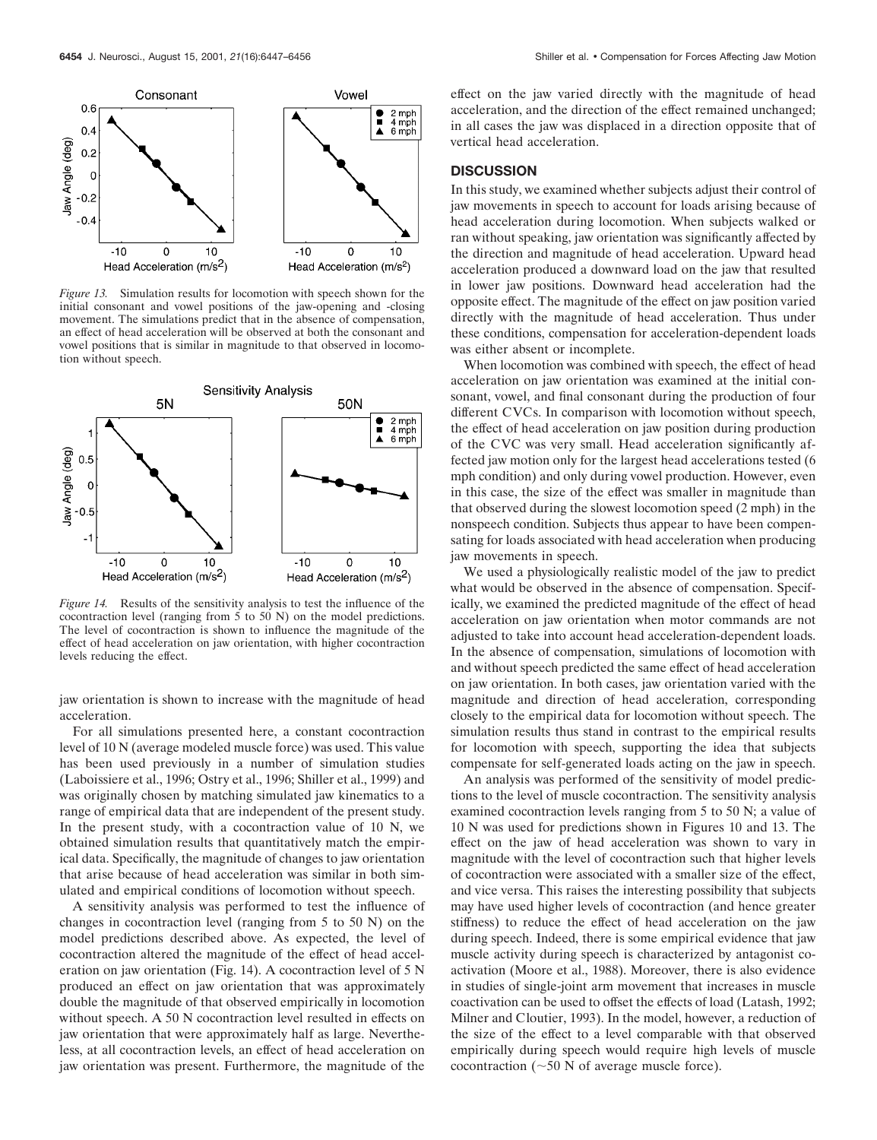

*Figure 13.* Simulation results for locomotion with speech shown for the initial consonant and vowel positions of the jaw-opening and -closing movement. The simulations predict that in the absence of compensation, an effect of head acceleration will be observed at both the consonant and vowel positions that is similar in magnitude to that observed in locomotion without speech.



*Figure 14.* Results of the sensitivity analysis to test the influence of the cocontraction level (ranging from 5 to 50 N) on the model predictions. The level of cocontraction is shown to influence the magnitude of the effect of head acceleration on jaw orientation, with higher cocontraction levels reducing the effect.

jaw orientation is shown to increase with the magnitude of head acceleration.

For all simulations presented here, a constant cocontraction level of 10 N (average modeled muscle force) was used. This value has been used previously in a number of simulation studies (Laboissiere et al., 1996; Ostry et al., 1996; Shiller et al., 1999) and was originally chosen by matching simulated jaw kinematics to a range of empirical data that are independent of the present study. In the present study, with a cocontraction value of 10 N, we obtained simulation results that quantitatively match the empirical data. Specifically, the magnitude of changes to jaw orientation that arise because of head acceleration was similar in both simulated and empirical conditions of locomotion without speech.

A sensitivity analysis was performed to test the influence of changes in cocontraction level (ranging from 5 to 50 N) on the model predictions described above. As expected, the level of cocontraction altered the magnitude of the effect of head acceleration on jaw orientation (Fig. 14). A cocontraction level of 5 N produced an effect on jaw orientation that was approximately double the magnitude of that observed empirically in locomotion without speech. A 50 N cocontraction level resulted in effects on jaw orientation that were approximately half as large. Nevertheless, at all cocontraction levels, an effect of head acceleration on jaw orientation was present. Furthermore, the magnitude of the

effect on the jaw varied directly with the magnitude of head acceleration, and the direction of the effect remained unchanged; in all cases the jaw was displaced in a direction opposite that of vertical head acceleration.

# **DISCUSSION**

In this study, we examined whether subjects adjust their control of jaw movements in speech to account for loads arising because of head acceleration during locomotion. When subjects walked or ran without speaking, jaw orientation was significantly affected by the direction and magnitude of head acceleration. Upward head acceleration produced a downward load on the jaw that resulted in lower jaw positions. Downward head acceleration had the opposite effect. The magnitude of the effect on jaw position varied directly with the magnitude of head acceleration. Thus under these conditions, compensation for acceleration-dependent loads was either absent or incomplete.

When locomotion was combined with speech, the effect of head acceleration on jaw orientation was examined at the initial consonant, vowel, and final consonant during the production of four different CVCs. In comparison with locomotion without speech, the effect of head acceleration on jaw position during production of the CVC was very small. Head acceleration significantly affected jaw motion only for the largest head accelerations tested (6 mph condition) and only during vowel production. However, even in this case, the size of the effect was smaller in magnitude than that observed during the slowest locomotion speed (2 mph) in the nonspeech condition. Subjects thus appear to have been compensating for loads associated with head acceleration when producing jaw movements in speech.

We used a physiologically realistic model of the jaw to predict what would be observed in the absence of compensation. Specifically, we examined the predicted magnitude of the effect of head acceleration on jaw orientation when motor commands are not adjusted to take into account head acceleration-dependent loads. In the absence of compensation, simulations of locomotion with and without speech predicted the same effect of head acceleration on jaw orientation. In both cases, jaw orientation varied with the magnitude and direction of head acceleration, corresponding closely to the empirical data for locomotion without speech. The simulation results thus stand in contrast to the empirical results for locomotion with speech, supporting the idea that subjects compensate for self-generated loads acting on the jaw in speech.

An analysis was performed of the sensitivity of model predictions to the level of muscle cocontraction. The sensitivity analysis examined cocontraction levels ranging from 5 to 50 N; a value of 10 N was used for predictions shown in Figures 10 and 13. The effect on the jaw of head acceleration was shown to vary in magnitude with the level of cocontraction such that higher levels of cocontraction were associated with a smaller size of the effect, and vice versa. This raises the interesting possibility that subjects may have used higher levels of cocontraction (and hence greater stiffness) to reduce the effect of head acceleration on the jaw during speech. Indeed, there is some empirical evidence that jaw muscle activity during speech is characterized by antagonist coactivation (Moore et al., 1988). Moreover, there is also evidence in studies of single-joint arm movement that increases in muscle coactivation can be used to offset the effects of load (Latash, 1992; Milner and Cloutier, 1993). In the model, however, a reduction of the size of the effect to a level comparable with that observed empirically during speech would require high levels of muscle cocontraction ( $\sim$ 50 N of average muscle force).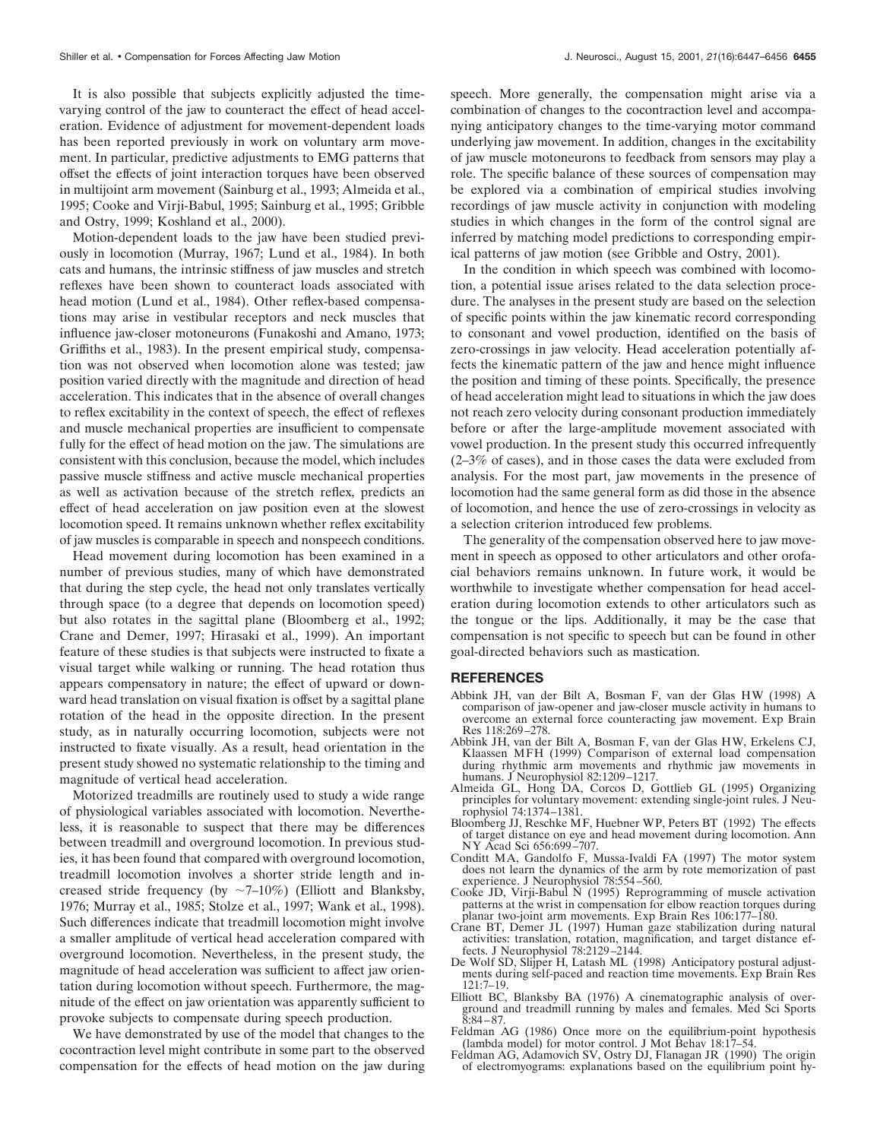It is also possible that subjects explicitly adjusted the timevarying control of the jaw to counteract the effect of head acceleration. Evidence of adjustment for movement-dependent loads has been reported previously in work on voluntary arm movement. In particular, predictive adjustments to EMG patterns that offset the effects of joint interaction torques have been observed in multijoint arm movement (Sainburg et al., 1993; Almeida et al., 1995; Cooke and Virji-Babul, 1995; Sainburg et al., 1995; Gribble and Ostry, 1999; Koshland et al., 2000).

Motion-dependent loads to the jaw have been studied previously in locomotion (Murray, 1967; Lund et al., 1984). In both cats and humans, the intrinsic stiffness of jaw muscles and stretch reflexes have been shown to counteract loads associated with head motion (Lund et al., 1984). Other reflex-based compensations may arise in vestibular receptors and neck muscles that influence jaw-closer motoneurons (Funakoshi and Amano, 1973; Griffiths et al., 1983). In the present empirical study, compensation was not observed when locomotion alone was tested; jaw position varied directly with the magnitude and direction of head acceleration. This indicates that in the absence of overall changes to reflex excitability in the context of speech, the effect of reflexes and muscle mechanical properties are insufficient to compensate fully for the effect of head motion on the jaw. The simulations are consistent with this conclusion, because the model, which includes passive muscle stiffness and active muscle mechanical properties as well as activation because of the stretch reflex, predicts an effect of head acceleration on jaw position even at the slowest locomotion speed. It remains unknown whether reflex excitability of jaw muscles is comparable in speech and nonspeech conditions.

Head movement during locomotion has been examined in a number of previous studies, many of which have demonstrated that during the step cycle, the head not only translates vertically through space (to a degree that depends on locomotion speed) but also rotates in the sagittal plane (Bloomberg et al., 1992; Crane and Demer, 1997; Hirasaki et al., 1999). An important feature of these studies is that subjects were instructed to fixate a visual target while walking or running. The head rotation thus appears compensatory in nature; the effect of upward or downward head translation on visual fixation is offset by a sagittal plane rotation of the head in the opposite direction. In the present study, as in naturally occurring locomotion, subjects were not instructed to fixate visually. As a result, head orientation in the present study showed no systematic relationship to the timing and magnitude of vertical head acceleration.

Motorized treadmills are routinely used to study a wide range of physiological variables associated with locomotion. Nevertheless, it is reasonable to suspect that there may be differences between treadmill and overground locomotion. In previous studies, it has been found that compared with overground locomotion, treadmill locomotion involves a shorter stride length and increased stride frequency (by  $\sim$  7–10%) (Elliott and Blanksby, 1976; Murray et al., 1985; Stolze et al., 1997; Wank et al., 1998). Such differences indicate that treadmill locomotion might involve a smaller amplitude of vertical head acceleration compared with overground locomotion. Nevertheless, in the present study, the magnitude of head acceleration was sufficient to affect jaw orientation during locomotion without speech. Furthermore, the magnitude of the effect on jaw orientation was apparently sufficient to provoke subjects to compensate during speech production.

We have demonstrated by use of the model that changes to the cocontraction level might contribute in some part to the observed compensation for the effects of head motion on the jaw during speech. More generally, the compensation might arise via a combination of changes to the cocontraction level and accompanying anticipatory changes to the time-varying motor command underlying jaw movement. In addition, changes in the excitability of jaw muscle motoneurons to feedback from sensors may play a role. The specific balance of these sources of compensation may be explored via a combination of empirical studies involving recordings of jaw muscle activity in conjunction with modeling studies in which changes in the form of the control signal are inferred by matching model predictions to corresponding empirical patterns of jaw motion (see Gribble and Ostry, 2001).

In the condition in which speech was combined with locomotion, a potential issue arises related to the data selection procedure. The analyses in the present study are based on the selection of specific points within the jaw kinematic record corresponding to consonant and vowel production, identified on the basis of zero-crossings in jaw velocity. Head acceleration potentially affects the kinematic pattern of the jaw and hence might influence the position and timing of these points. Specifically, the presence of head acceleration might lead to situations in which the jaw does not reach zero velocity during consonant production immediately before or after the large-amplitude movement associated with vowel production. In the present study this occurred infrequently (2–3% of cases), and in those cases the data were excluded from analysis. For the most part, jaw movements in the presence of locomotion had the same general form as did those in the absence of locomotion, and hence the use of zero-crossings in velocity as a selection criterion introduced few problems.

The generality of the compensation observed here to jaw movement in speech as opposed to other articulators and other orofacial behaviors remains unknown. In future work, it would be worthwhile to investigate whether compensation for head acceleration during locomotion extends to other articulators such as the tongue or the lips. Additionally, it may be the case that compensation is not specific to speech but can be found in other goal-directed behaviors such as mastication.

#### **REFERENCES**

- Abbink JH, van der Bilt A, Bosman F, van der Glas HW (1998) A comparison of jaw-opener and jaw-closer muscle activity in humans to overcome an external force counteracting jaw movement. Exp Brain Res 118:269–278.
- Abbink JH, van der Bilt A, Bosman F, van der Glas HW, Erkelens CJ, Klaassen MFH (1999) Comparison of external load compensation during rhythmic arm movements and rhythmic jaw movements in humans. J Neurophysiol 82:1209-1217.
- Almeida GL, Hong DA, Corcos D, Gottlieb GL (1995) Organizing principles for voluntary movement: extending single-joint rules. J Neurophysiol 74:1374–1381.
- Bloomberg JJ, Reschke MF, Huebner WP, Peters BT (1992) The effects of target distance on eye and head movement during locomotion. Ann NY Acad Sci 656:699–707.
- Conditt MA, Gandolfo F, Mussa-Ivaldi FA (1997) The motor system does not learn the dynamics of the arm by rote memorization of past experience. J Neurophysiol 78:554–560.
- Cooke JD, Virji-Babul N (1995) Reprogramming of muscle activation patterns at the wrist in compensation for elbow reaction torques during planar two-joint arm movements. Exp Brain Res 106:177–180.
- Crane BT, Demer JL (1997) Human gaze stabilization during natural activities: translation, rotation, magnification, and target distance ef-fects. J Neurophysiol 78:2129–2144.
- De Wolf SD, Slijper H, Latash ML (1998) Anticipatory postural adjustments during self-paced and reaction time movements. Exp Brain Res 121:7–19.
- Elliott BC, Blanksby BA (1976) A cinematographic analysis of overground and treadmill running by males and females. Med Sci Sports 8:84–87.
- Feldman AG (1986) Once more on the equilibrium-point hypothesis (lambda model) for motor control. J Mot Behav 18:17–54.
- Feldman AG, Adamovich SV, Ostry DJ, Flanagan JR (1990) The origin of electromyograms: explanations based on the equilibrium point hy-